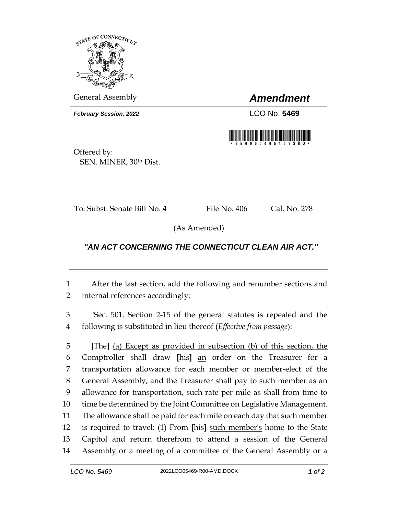

General Assembly *Amendment*

*February Session, 2022* LCO No. 5469



Offered by: SEN. MINER, 30th Dist.

To: Subst. Senate Bill No. 4 File No. 406 Cal. No. 278

(As Amended)

## *"AN ACT CONCERNING THE CONNECTICUT CLEAN AIR ACT."*

 After the last section, add the following and renumber sections and internal references accordingly:

 "Sec. 501. Section 2-15 of the general statutes is repealed and the following is substituted in lieu thereof (*Effective from passage*):

 **[**The**]** (a) Except as provided in subsection (b) of this section, the Comptroller shall draw **[**his**]** an order on the Treasurer for a transportation allowance for each member or member-elect of the General Assembly, and the Treasurer shall pay to such member as an allowance for transportation, such rate per mile as shall from time to time be determined by the Joint Committee on Legislative Management. The allowance shall be paid for each mile on each day that such member is required to travel: (1) From **[**his**]** such member's home to the State Capitol and return therefrom to attend a session of the General Assembly or a meeting of a committee of the General Assembly or a